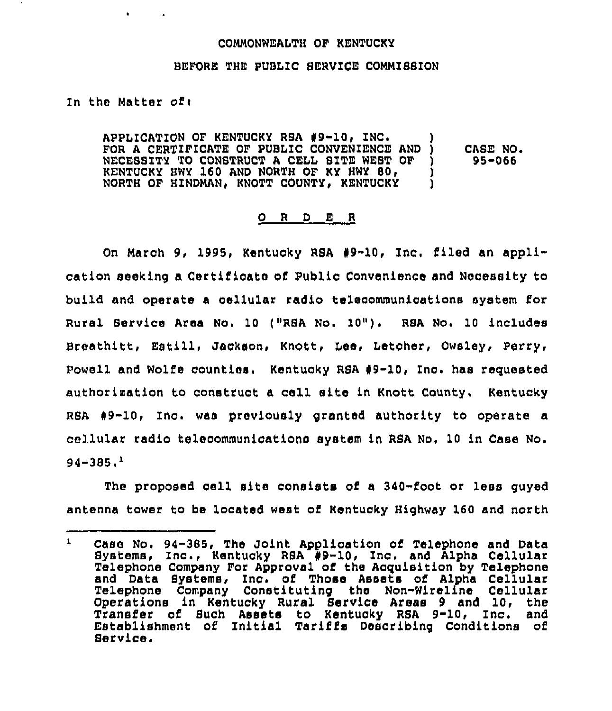## COHNONWEALTH OF KENTUCKY

## BEFORE THE PUBLIC SERVICE COMMISSION

## In the Matter of:

 $\bullet$  . The set of  $\bullet$ 

APPLICATION OF KENTUCKY RSA #9-10, INC. FOR A CERTIFICATE OF PUBLIC CONVENIENCE AND )<br>NECESSITY TO CONSTRUCT A CELL SITE WEST OF ) NECESSITY TO CONSTRUCT A CELL SITE WEST OF )<br>KENTUCKY HWY 160 AND NORTH OF KY HWY 80. KENTUCKY HWY 160 AND NORTH OF KY HWY 80,  $\overrightarrow{)}$ <br>NORTH OF HINDMAN, KNOTT COUNTY, KENTUCKY NORTH OF HINDMAN, KNOTT COUNTY, KENTUCKY CASE NO. 95-066

## 0 <sup>R</sup> <sup>D</sup> E <sup>R</sup>

On March 9, 1995, Kentucky RSA #9-10, Inc. filed an application seeking a Certilicate of Public Convenience and Necessity to build and operate a cellular radio telecommunications system for Rural Service Area No, 10 ("RSA No. 10"). RSA No, 10 includes Breathitt, Estill, Jackson, Knott, Lee, Letcher, Owsley, Perry, Powell and Wolfe counties. Kentucky RBA 49-10, Inc. has requested authorisaticn to construct a cell site in Knott County. Kentucky RSA 49-10, Inc. was previously granted authority to operate a cellular radio telecommunications system in RSA No, 10 in Case No. 94-385 '

The proposed cell site consists of a 340-foot or less guyed antenna tower to be located west of Kentucky Highway 160 and north

 $\mathbf{1}$ Case No. 94-385, The Joint Application of Telephone and Data Systems, Inc., Kentucky RSA #9-10, Inc. and Alpha Cellular Telephone Company For Approval of the Acquisition by Telephone and Data Bystems, Inc. of Those Assets of Alpha Cellular Telephone Company Constituting the Non-Wireline Cellular Operations in Kentucky Rural Service Areas 9 and 10, the Transfer of Buch Assets to Kentucky RSA 9-10, inc. and Establishment of Initial Tariffs Describing Conditions of Service.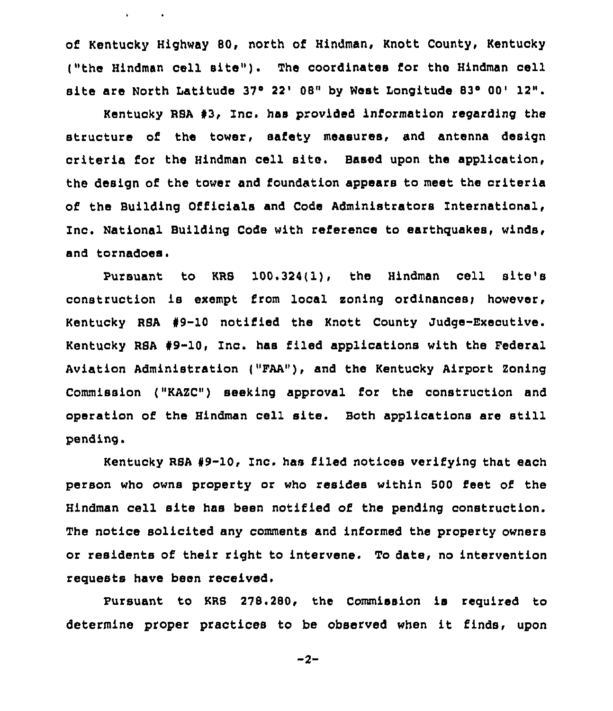of Kentucky Highway 80, north of Hindman, Knott County, Kentucky ("the Hindman cell site"). The coordinates for the Hindman cell site are North Latitude 37° 22' 08" by West Longitude 83° 00' 12".

 $\mathbf{v} = \mathbf{v} \times \mathbf{v}$  .

Kentucky RSA #3, Inc. has provided information regarding the structure of the tower, safety measures, and antenna design criteria for the Hindman cell site, Baaed upon the application, the design of the tower and foundation appears to meet the criteria of the Building Officials and Code Administrators International, Inc. National Building Code with reference to earthquakes, winds, and tornadoes.

Pursuant to KRS 100.324(1), the Hindman cell site's construction is exempt from local zoning ordinances; however, Kentucky RSA #9-10 notified the Knott County Judge-Executive. Kentucky RSA 49-10, Inc. has filed applications with the Federal Aviation Administration ("FAA"), and the Kentucky Airport Zoning Commission ("KAZC") seeking approval for the construction and operation of the Hindman cell site. Both applications are still pending.

Kentucky RSA 89-10, Inc. has filed notices verifying that each person who owns property or who resides within 500 feet of the Hindman cell site has been notified of the pending construction. The notice solicited any comments and informed the property owners or residents of their right to intervene. To date, no intervention requests have been received.

Pursuant to KRS 278.280, the Commission is required to determine proper practices to be observed when it finds, upon

 $-2-$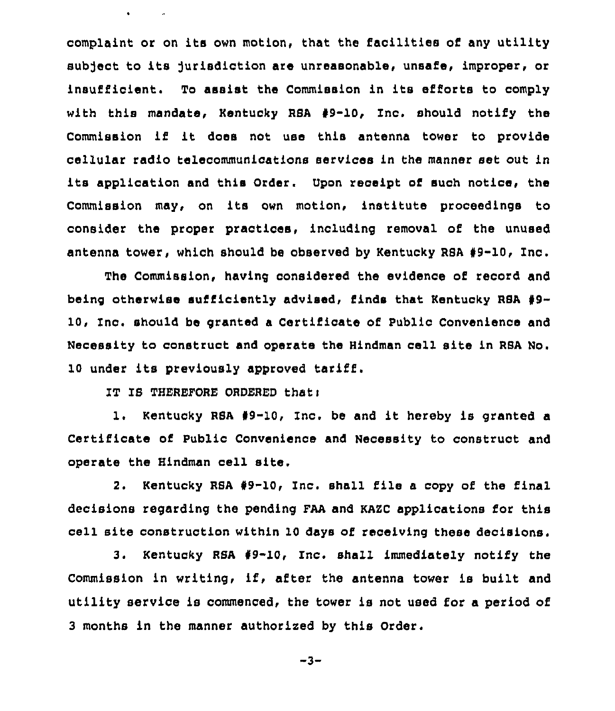complaint or on its own motion, that the facilities of any utility subject to its jurisdiction are unreasonable, unsafe, improper, or insufficient. To assist the Commission in its efforts to comply with this mandate, Kentucky RSA 49-10, Inc. should notify the Commission if it does not use this antenna tower to provide cellular radio telecommunications services in the manner set out in its application and this Order. Upon receipt of such notice, the Commission may, on its own motion, institute proceedings to consider the proper practices, including removal of the unused antenna tower, which should be observed by Kentucky RSA 49-10, Inc.

The Commission, having considered the evidence of record and being otherwise sufficiently advised, finds that Kentucky RSA #9-10< Inc. should be granted a Certificate of Public Convenience and Necessity to construct and operate the Hindman cell site in RBA No. <sup>10</sup> under its previously approved tariff.

IT IS THEREFORE ORDERED thati

 $\bullet$  . The second second  $\bullet$ 

1. Kentucky RSA #9-10, Inc. be and it hereby is granted a Certificate of Public Convenience and Necessity to construct and operate the Hindman cell site.

2. Kentucky RSA \$9-10, Inc. shall file <sup>a</sup> copy of the final decisions regarding the pending FAA and KAZC applications for this cell site construction within 10 days of receiving these decisions.

3. Kentucky RSA 49-10, Inc. shall immediately notify the Commission in writing, if, after the antenna tower is built and utility service is commenced, the tower is not used for a period of 3 months in the manner authorized by this Order.

 $-3-$